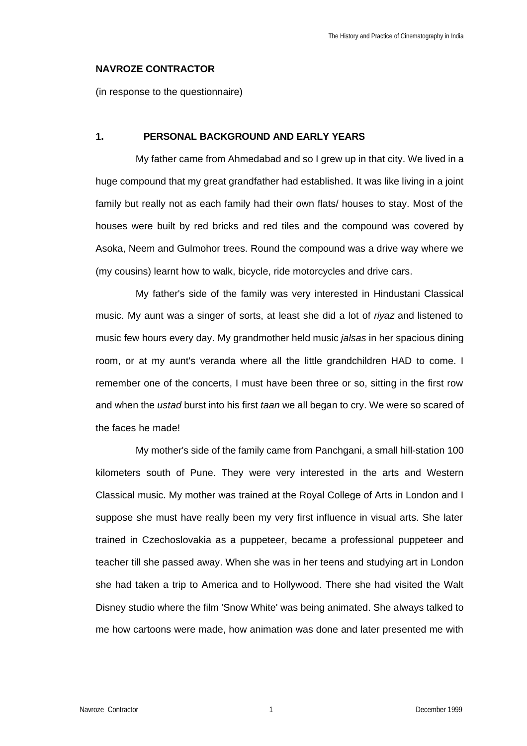#### **NAVROZE CONTRACTOR**

(in response to the questionnaire)

## **1. PERSONAL BACKGROUND AND EARLY YEARS**

My father came from Ahmedabad and so I grew up in that city. We lived in a huge compound that my great grandfather had established. It was like living in a joint family but really not as each family had their own flats/ houses to stay. Most of the houses were built by red bricks and red tiles and the compound was covered by Asoka, Neem and Gulmohor trees. Round the compound was a drive way where we (my cousins) learnt how to walk, bicycle, ride motorcycles and drive cars.

My father's side of the family was very interested in Hindustani Classical music. My aunt was a singer of sorts, at least she did a lot of *riyaz* and listened to music few hours every day. My grandmother held music *jalsas* in her spacious dining room, or at my aunt's veranda where all the little grandchildren HAD to come. I remember one of the concerts, I must have been three or so, sitting in the first row and when the *ustad* burst into his first *taan* we all began to cry. We were so scared of the faces he made!

My mother's side of the family came from Panchgani, a small hill-station 100 kilometers south of Pune. They were very interested in the arts and Western Classical music. My mother was trained at the Royal College of Arts in London and I suppose she must have really been my very first influence in visual arts. She later trained in Czechoslovakia as a puppeteer, became a professional puppeteer and teacher till she passed away. When she was in her teens and studying art in London she had taken a trip to America and to Hollywood. There she had visited the Walt Disney studio where the film 'Snow White' was being animated. She always talked to me how cartoons were made, how animation was done and later presented me with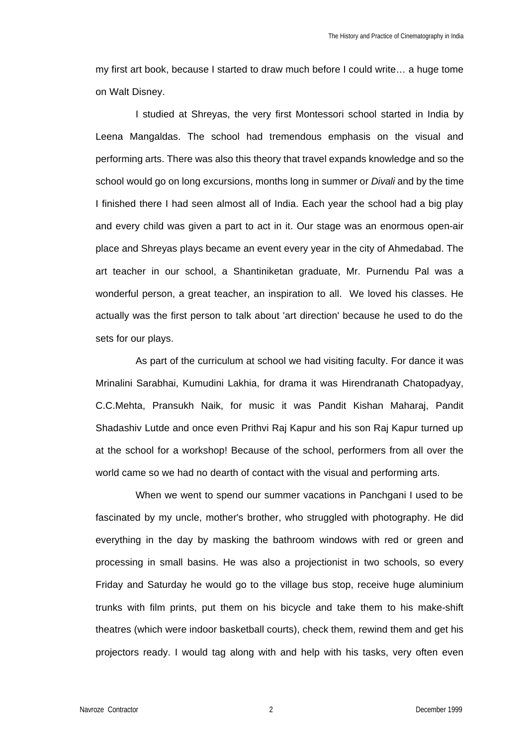my first art book, because I started to draw much before I could write… a huge tome on Walt Disney.

I studied at Shreyas, the very first Montessori school started in India by Leena Mangaldas. The school had tremendous emphasis on the visual and performing arts. There was also this theory that travel expands knowledge and so the school would go on long excursions, months long in summer or *Divali* and by the time I finished there I had seen almost all of India. Each year the school had a big play and every child was given a part to act in it. Our stage was an enormous open-air place and Shreyas plays became an event every year in the city of Ahmedabad. The art teacher in our school, a Shantiniketan graduate, Mr. Purnendu Pal was a wonderful person, a great teacher, an inspiration to all. We loved his classes. He actually was the first person to talk about 'art direction' because he used to do the sets for our plays.

As part of the curriculum at school we had visiting faculty. For dance it was Mrinalini Sarabhai, Kumudini Lakhia, for drama it was Hirendranath Chatopadyay, C.C.Mehta, Pransukh Naik, for music it was Pandit Kishan Maharaj, Pandit Shadashiv Lutde and once even Prithvi Raj Kapur and his son Raj Kapur turned up at the school for a workshop! Because of the school, performers from all over the world came so we had no dearth of contact with the visual and performing arts.

When we went to spend our summer vacations in Panchgani I used to be fascinated by my uncle, mother's brother, who struggled with photography. He did everything in the day by masking the bathroom windows with red or green and processing in small basins. He was also a projectionist in two schools, so every Friday and Saturday he would go to the village bus stop, receive huge aluminium trunks with film prints, put them on his bicycle and take them to his make-shift theatres (which were indoor basketball courts), check them, rewind them and get his projectors ready. I would tag along with and help with his tasks, very often even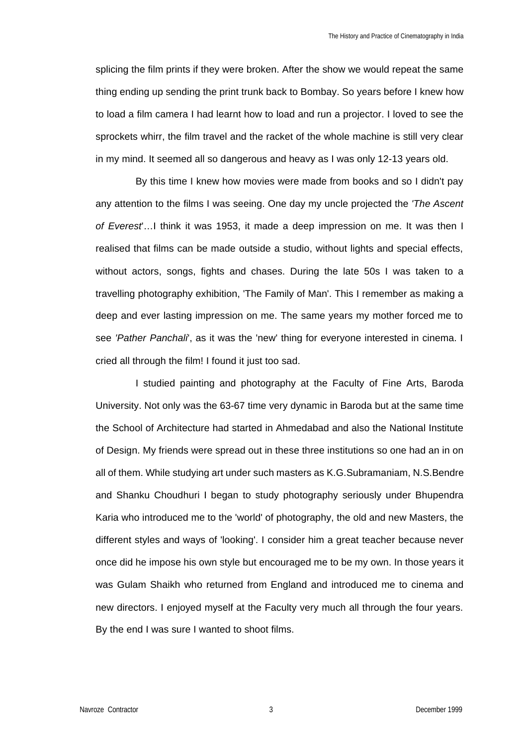splicing the film prints if they were broken. After the show we would repeat the same thing ending up sending the print trunk back to Bombay. So years before I knew how to load a film camera I had learnt how to load and run a projector. I loved to see the sprockets whirr, the film travel and the racket of the whole machine is still very clear in my mind. It seemed all so dangerous and heavy as I was only 12-13 years old.

By this time I knew how movies were made from books and so I didn't pay any attention to the films I was seeing. One day my uncle projected the *'The Ascent of Everest*'…I think it was 1953, it made a deep impression on me. It was then I realised that films can be made outside a studio, without lights and special effects, without actors, songs, fights and chases. During the late 50s I was taken to a travelling photography exhibition, 'The Family of Man'. This I remember as making a deep and ever lasting impression on me. The same years my mother forced me to see *'Pather Panchali*', as it was the 'new' thing for everyone interested in cinema. I cried all through the film! I found it just too sad.

I studied painting and photography at the Faculty of Fine Arts, Baroda University. Not only was the 63-67 time very dynamic in Baroda but at the same time the School of Architecture had started in Ahmedabad and also the National Institute of Design. My friends were spread out in these three institutions so one had an in on all of them. While studying art under such masters as K.G.Subramaniam, N.S.Bendre and Shanku Choudhuri I began to study photography seriously under Bhupendra Karia who introduced me to the 'world' of photography, the old and new Masters, the different styles and ways of 'looking'. I consider him a great teacher because never once did he impose his own style but encouraged me to be my own. In those years it was Gulam Shaikh who returned from England and introduced me to cinema and new directors. I enjoyed myself at the Faculty very much all through the four years. By the end I was sure I wanted to shoot films.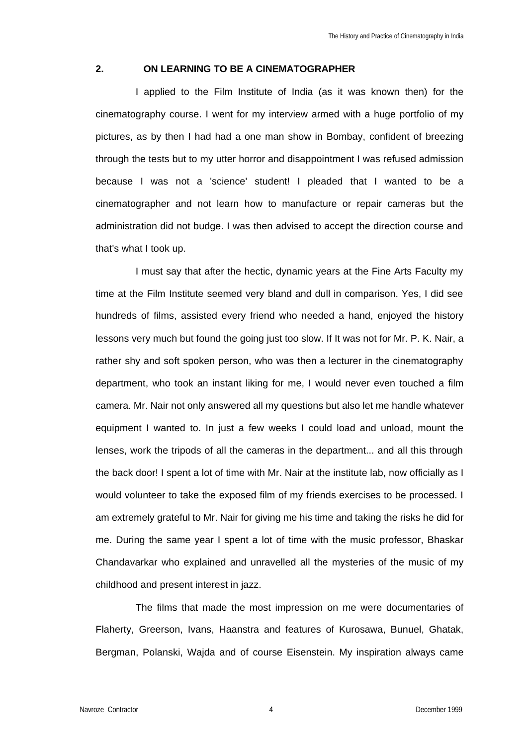## **2. ON LEARNING TO BE A CINEMATOGRAPHER**

I applied to the Film Institute of India (as it was known then) for the cinematography course. I went for my interview armed with a huge portfolio of my pictures, as by then I had had a one man show in Bombay, confident of breezing through the tests but to my utter horror and disappointment I was refused admission because I was not a 'science' student! I pleaded that I wanted to be a cinematographer and not learn how to manufacture or repair cameras but the administration did not budge. I was then advised to accept the direction course and that's what I took up.

I must say that after the hectic, dynamic years at the Fine Arts Faculty my time at the Film Institute seemed very bland and dull in comparison. Yes, I did see hundreds of films, assisted every friend who needed a hand, enjoyed the history lessons very much but found the going just too slow. If It was not for Mr. P. K. Nair, a rather shy and soft spoken person, who was then a lecturer in the cinematography department, who took an instant liking for me, I would never even touched a film camera. Mr. Nair not only answered all my questions but also let me handle whatever equipment I wanted to. In just a few weeks I could load and unload, mount the lenses, work the tripods of all the cameras in the department... and all this through the back door! I spent a lot of time with Mr. Nair at the institute lab, now officially as I would volunteer to take the exposed film of my friends exercises to be processed. I am extremely grateful to Mr. Nair for giving me his time and taking the risks he did for me. During the same year I spent a lot of time with the music professor, Bhaskar Chandavarkar who explained and unravelled all the mysteries of the music of my childhood and present interest in jazz.

The films that made the most impression on me were documentaries of Flaherty, Greerson, Ivans, Haanstra and features of Kurosawa, Bunuel, Ghatak, Bergman, Polanski, Wajda and of course Eisenstein. My inspiration always came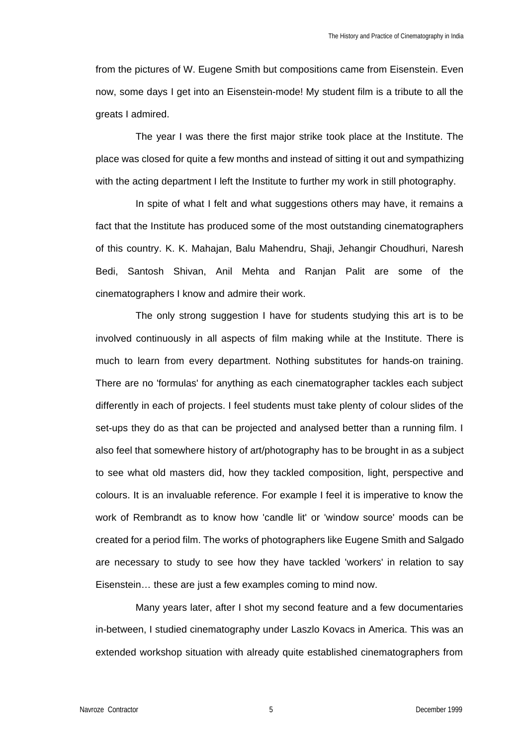from the pictures of W. Eugene Smith but compositions came from Eisenstein. Even now, some days I get into an Eisenstein-mode! My student film is a tribute to all the greats I admired.

The year I was there the first major strike took place at the Institute. The place was closed for quite a few months and instead of sitting it out and sympathizing with the acting department I left the Institute to further my work in still photography.

In spite of what I felt and what suggestions others may have, it remains a fact that the Institute has produced some of the most outstanding cinematographers of this country. K. K. Mahajan, Balu Mahendru, Shaji, Jehangir Choudhuri, Naresh Bedi, Santosh Shivan, Anil Mehta and Ranjan Palit are some of the cinematographers I know and admire their work.

The only strong suggestion I have for students studying this art is to be involved continuously in all aspects of film making while at the Institute. There is much to learn from every department. Nothing substitutes for hands-on training. There are no 'formulas' for anything as each cinematographer tackles each subject differently in each of projects. I feel students must take plenty of colour slides of the set-ups they do as that can be projected and analysed better than a running film. I also feel that somewhere history of art/photography has to be brought in as a subject to see what old masters did, how they tackled composition, light, perspective and colours. It is an invaluable reference. For example I feel it is imperative to know the work of Rembrandt as to know how 'candle lit' or 'window source' moods can be created for a period film. The works of photographers like Eugene Smith and Salgado are necessary to study to see how they have tackled 'workers' in relation to say Eisenstein… these are just a few examples coming to mind now.

Many years later, after I shot my second feature and a few documentaries in-between, I studied cinematography under Laszlo Kovacs in America. This was an extended workshop situation with already quite established cinematographers from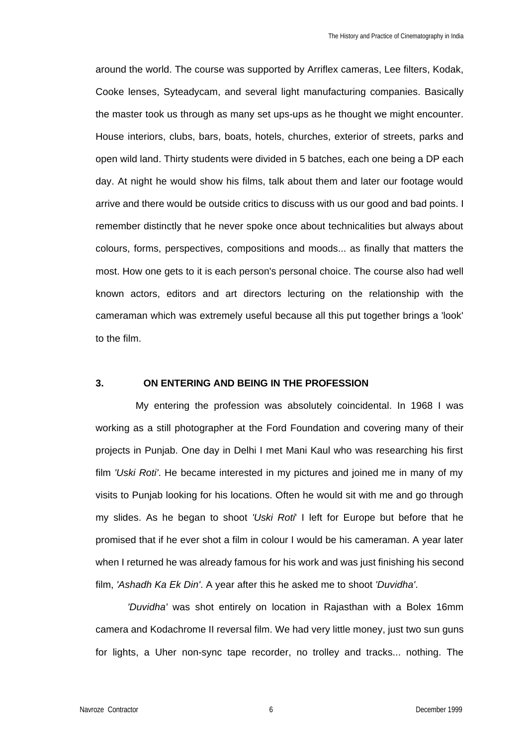around the world. The course was supported by Arriflex cameras, Lee filters, Kodak, Cooke lenses, Syteadycam, and several light manufacturing companies. Basically the master took us through as many set ups-ups as he thought we might encounter. House interiors, clubs, bars, boats, hotels, churches, exterior of streets, parks and open wild land. Thirty students were divided in 5 batches, each one being a DP each day. At night he would show his films, talk about them and later our footage would arrive and there would be outside critics to discuss with us our good and bad points. I remember distinctly that he never spoke once about technicalities but always about colours, forms, perspectives, compositions and moods... as finally that matters the most. How one gets to it is each person's personal choice. The course also had well known actors, editors and art directors lecturing on the relationship with the cameraman which was extremely useful because all this put together brings a 'look' to the film.

## **3. ON ENTERING AND BEING IN THE PROFESSION**

My entering the profession was absolutely coincidental. In 1968 I was working as a still photographer at the Ford Foundation and covering many of their projects in Punjab. One day in Delhi I met Mani Kaul who was researching his first film *'Uski Roti'*. He became interested in my pictures and joined me in many of my visits to Punjab looking for his locations. Often he would sit with me and go through my slides. As he began to shoot *'Uski Roti*' I left for Europe but before that he promised that if he ever shot a film in colour I would be his cameraman. A year later when I returned he was already famous for his work and was just finishing his second film, *'Ashadh Ka Ek Din'*. A year after this he asked me to shoot *'Duvidha'*.

*'Duvidha'* was shot entirely on location in Rajasthan with a Bolex 16mm camera and Kodachrome II reversal film. We had very little money, just two sun guns for lights, a Uher non-sync tape recorder, no trolley and tracks... nothing. The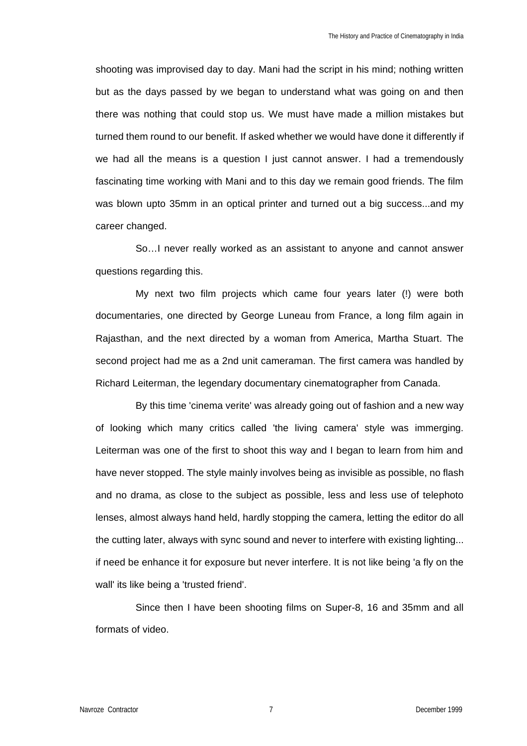shooting was improvised day to day. Mani had the script in his mind; nothing written but as the days passed by we began to understand what was going on and then there was nothing that could stop us. We must have made a million mistakes but turned them round to our benefit. If asked whether we would have done it differently if we had all the means is a question I just cannot answer. I had a tremendously fascinating time working with Mani and to this day we remain good friends. The film was blown upto 35mm in an optical printer and turned out a big success...and my career changed.

So…I never really worked as an assistant to anyone and cannot answer questions regarding this.

My next two film projects which came four years later (!) were both documentaries, one directed by George Luneau from France, a long film again in Rajasthan, and the next directed by a woman from America, Martha Stuart. The second project had me as a 2nd unit cameraman. The first camera was handled by Richard Leiterman, the legendary documentary cinematographer from Canada.

By this time 'cinema verite' was already going out of fashion and a new way of looking which many critics called 'the living camera' style was immerging. Leiterman was one of the first to shoot this way and I began to learn from him and have never stopped. The style mainly involves being as invisible as possible, no flash and no drama, as close to the subject as possible, less and less use of telephoto lenses, almost always hand held, hardly stopping the camera, letting the editor do all the cutting later, always with sync sound and never to interfere with existing lighting... if need be enhance it for exposure but never interfere. It is not like being 'a fly on the wall' its like being a 'trusted friend'.

Since then I have been shooting films on Super-8, 16 and 35mm and all formats of video.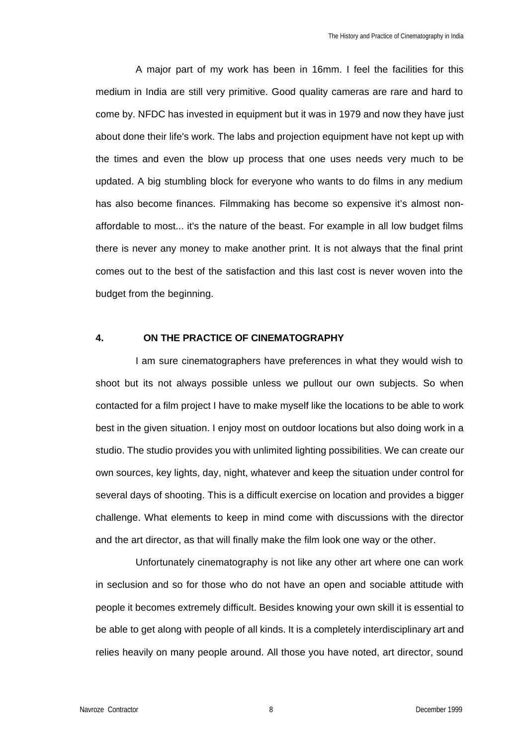A major part of my work has been in 16mm. I feel the facilities for this medium in India are still very primitive. Good quality cameras are rare and hard to come by. NFDC has invested in equipment but it was in 1979 and now they have just about done their life's work. The labs and projection equipment have not kept up with the times and even the blow up process that one uses needs very much to be updated. A big stumbling block for everyone who wants to do films in any medium has also become finances. Filmmaking has become so expensive it's almost nonaffordable to most... it's the nature of the beast. For example in all low budget films there is never any money to make another print. It is not always that the final print comes out to the best of the satisfaction and this last cost is never woven into the budget from the beginning.

#### **4. ON THE PRACTICE OF CINEMATOGRAPHY**

I am sure cinematographers have preferences in what they would wish to shoot but its not always possible unless we pullout our own subjects. So when contacted for a film project I have to make myself like the locations to be able to work best in the given situation. I enjoy most on outdoor locations but also doing work in a studio. The studio provides you with unlimited lighting possibilities. We can create our own sources, key lights, day, night, whatever and keep the situation under control for several days of shooting. This is a difficult exercise on location and provides a bigger challenge. What elements to keep in mind come with discussions with the director and the art director, as that will finally make the film look one way or the other.

Unfortunately cinematography is not like any other art where one can work in seclusion and so for those who do not have an open and sociable attitude with people it becomes extremely difficult. Besides knowing your own skill it is essential to be able to get along with people of all kinds. It is a completely interdisciplinary art and relies heavily on many people around. All those you have noted, art director, sound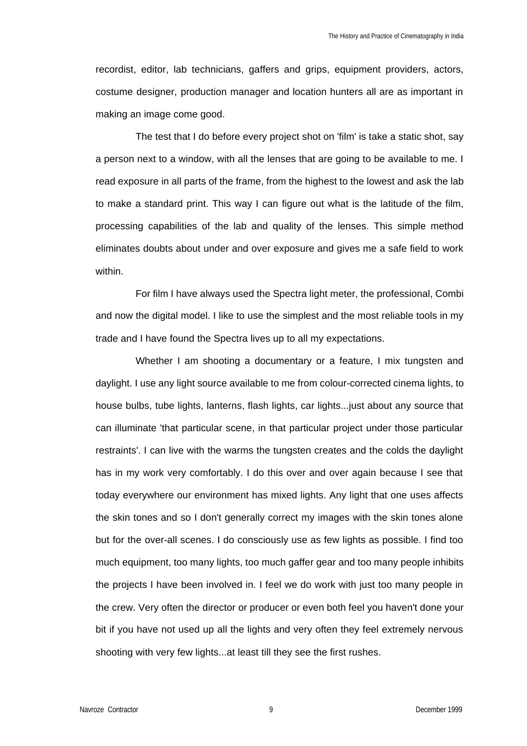recordist, editor, lab technicians, gaffers and grips, equipment providers, actors, costume designer, production manager and location hunters all are as important in making an image come good.

The test that I do before every project shot on 'film' is take a static shot, say a person next to a window, with all the lenses that are going to be available to me. I read exposure in all parts of the frame, from the highest to the lowest and ask the lab to make a standard print. This way I can figure out what is the latitude of the film, processing capabilities of the lab and quality of the lenses. This simple method eliminates doubts about under and over exposure and gives me a safe field to work within.

For film I have always used the Spectra light meter, the professional, Combi and now the digital model. I like to use the simplest and the most reliable tools in my trade and I have found the Spectra lives up to all my expectations.

Whether I am shooting a documentary or a feature, I mix tungsten and daylight. I use any light source available to me from colour-corrected cinema lights, to house bulbs, tube lights, lanterns, flash lights, car lights...just about any source that can illuminate 'that particular scene, in that particular project under those particular restraints'. I can live with the warms the tungsten creates and the colds the daylight has in my work very comfortably. I do this over and over again because I see that today everywhere our environment has mixed lights. Any light that one uses affects the skin tones and so I don't generally correct my images with the skin tones alone but for the over-all scenes. I do consciously use as few lights as possible. I find too much equipment, too many lights, too much gaffer gear and too many people inhibits the projects I have been involved in. I feel we do work with just too many people in the crew. Very often the director or producer or even both feel you haven't done your bit if you have not used up all the lights and very often they feel extremely nervous shooting with very few lights...at least till they see the first rushes.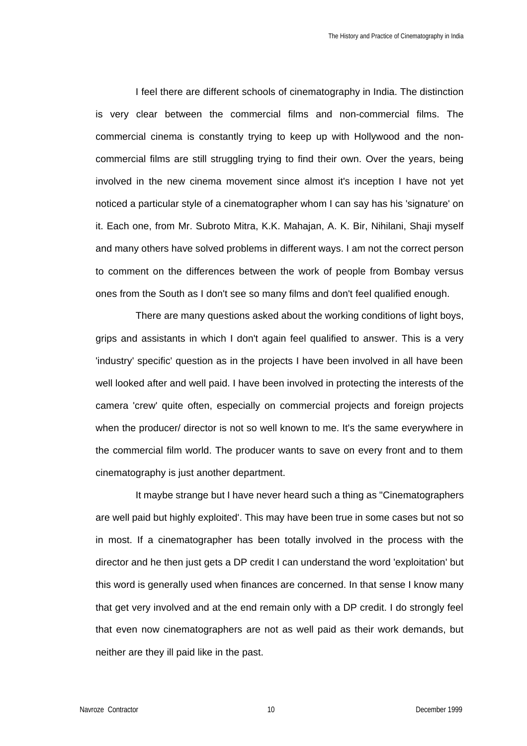I feel there are different schools of cinematography in India. The distinction is very clear between the commercial films and non-commercial films. The commercial cinema is constantly trying to keep up with Hollywood and the noncommercial films are still struggling trying to find their own. Over the years, being involved in the new cinema movement since almost it's inception I have not yet noticed a particular style of a cinematographer whom I can say has his 'signature' on it. Each one, from Mr. Subroto Mitra, K.K. Mahajan, A. K. Bir, Nihilani, Shaji myself and many others have solved problems in different ways. I am not the correct person to comment on the differences between the work of people from Bombay versus ones from the South as I don't see so many films and don't feel qualified enough.

There are many questions asked about the working conditions of light boys, grips and assistants in which I don't again feel qualified to answer. This is a very 'industry' specific' question as in the projects I have been involved in all have been well looked after and well paid. I have been involved in protecting the interests of the camera 'crew' quite often, especially on commercial projects and foreign projects when the producer/ director is not so well known to me. It's the same everywhere in the commercial film world. The producer wants to save on every front and to them cinematography is just another department.

It maybe strange but I have never heard such a thing as "Cinematographers are well paid but highly exploited'. This may have been true in some cases but not so in most. If a cinematographer has been totally involved in the process with the director and he then just gets a DP credit I can understand the word 'exploitation' but this word is generally used when finances are concerned. In that sense I know many that get very involved and at the end remain only with a DP credit. I do strongly feel that even now cinematographers are not as well paid as their work demands, but neither are they ill paid like in the past.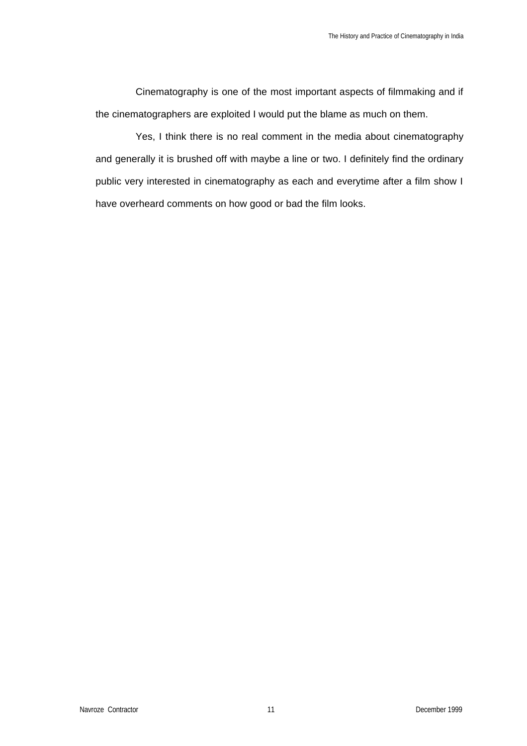Cinematography is one of the most important aspects of filmmaking and if the cinematographers are exploited I would put the blame as much on them.

Yes, I think there is no real comment in the media about cinematography and generally it is brushed off with maybe a line or two. I definitely find the ordinary public very interested in cinematography as each and everytime after a film show I have overheard comments on how good or bad the film looks.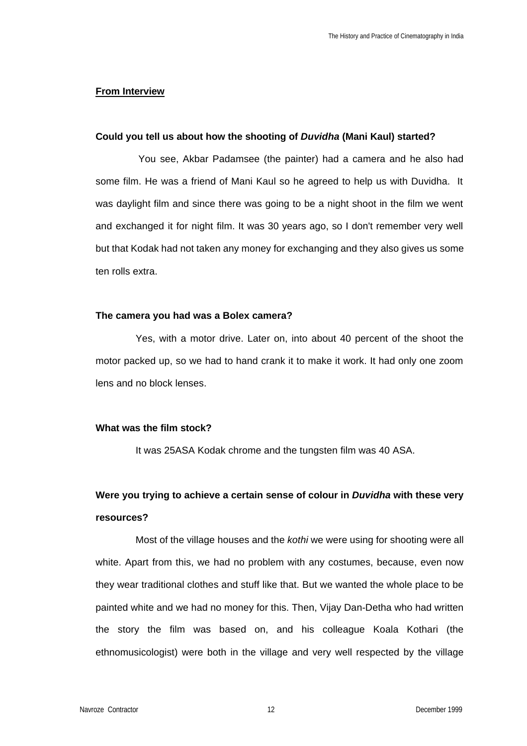## **From Interview**

## **Could you tell us about how the shooting of** *Duvidha* **(Mani Kaul) started?**

You see, Akbar Padamsee (the painter) had a camera and he also had some film. He was a friend of Mani Kaul so he agreed to help us with Duvidha. It was daylight film and since there was going to be a night shoot in the film we went and exchanged it for night film. It was 30 years ago, so I don't remember very well but that Kodak had not taken any money for exchanging and they also gives us some ten rolls extra.

### **The camera you had was a Bolex camera?**

Yes, with a motor drive. Later on, into about 40 percent of the shoot the motor packed up, so we had to hand crank it to make it work. It had only one zoom lens and no block lenses.

#### **What was the film stock?**

It was 25ASA Kodak chrome and the tungsten film was 40 ASA.

# **Were you trying to achieve a certain sense of colour in** *Duvidha* **with these very resources?**

Most of the village houses and the *kothi* we were using for shooting were all white. Apart from this, we had no problem with any costumes, because, even now they wear traditional clothes and stuff like that. But we wanted the whole place to be painted white and we had no money for this. Then, Vijay Dan-Detha who had written the story the film was based on, and his colleague Koala Kothari (the ethnomusicologist) were both in the village and very well respected by the village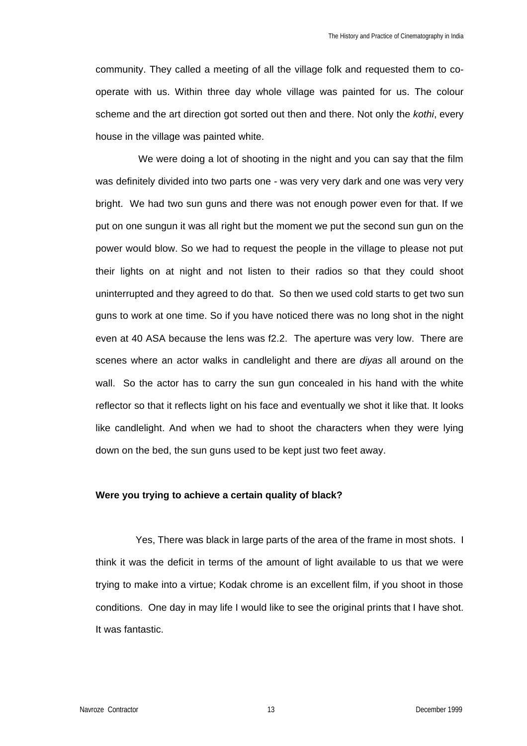community. They called a meeting of all the village folk and requested them to cooperate with us. Within three day whole village was painted for us. The colour scheme and the art direction got sorted out then and there. Not only the *kothi*, every house in the village was painted white.

We were doing a lot of shooting in the night and you can say that the film was definitely divided into two parts one - was very very dark and one was very very bright. We had two sun guns and there was not enough power even for that. If we put on one sungun it was all right but the moment we put the second sun gun on the power would blow. So we had to request the people in the village to please not put their lights on at night and not listen to their radios so that they could shoot uninterrupted and they agreed to do that. So then we used cold starts to get two sun guns to work at one time. So if you have noticed there was no long shot in the night even at 40 ASA because the lens was f2.2. The aperture was very low. There are scenes where an actor walks in candlelight and there are *diyas* all around on the wall. So the actor has to carry the sun gun concealed in his hand with the white reflector so that it reflects light on his face and eventually we shot it like that. It looks like candlelight. And when we had to shoot the characters when they were lying down on the bed, the sun guns used to be kept just two feet away.

#### **Were you trying to achieve a certain quality of black?**

Yes, There was black in large parts of the area of the frame in most shots. I think it was the deficit in terms of the amount of light available to us that we were trying to make into a virtue; Kodak chrome is an excellent film, if you shoot in those conditions. One day in may life I would like to see the original prints that I have shot. It was fantastic.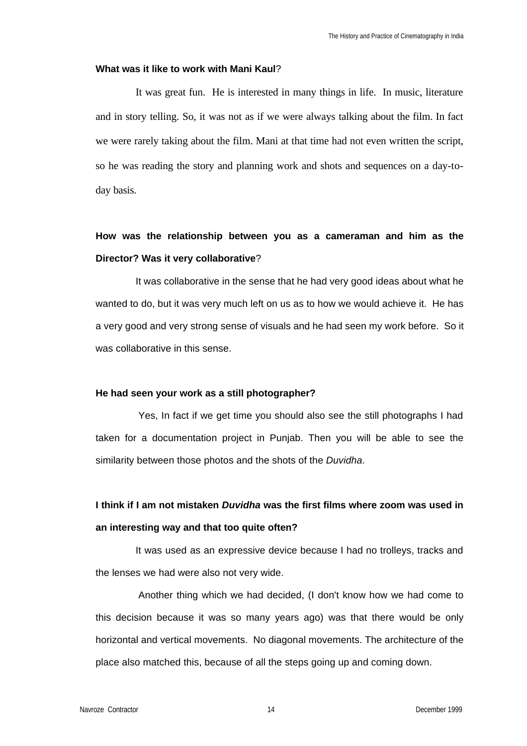## **What was it like to work with Mani Kaul**?

It was great fun. He is interested in many things in life. In music, literature and in story telling. So, it was not as if we were always talking about the film. In fact we were rarely taking about the film. Mani at that time had not even written the script, so he was reading the story and planning work and shots and sequences on a day-today basis.

# **How was the relationship between you as a cameraman and him as the Director? Was it very collaborative**?

It was collaborative in the sense that he had very good ideas about what he wanted to do, but it was very much left on us as to how we would achieve it. He has a very good and very strong sense of visuals and he had seen my work before. So it was collaborative in this sense.

## **He had seen your work as a still photographer?**

Yes, In fact if we get time you should also see the still photographs I had taken for a documentation project in Punjab. Then you will be able to see the similarity between those photos and the shots of the *Duvidha*.

# **I think if I am not mistaken** *Duvidha* **was the first films where zoom was used in an interesting way and that too quite often?**

It was used as an expressive device because I had no trolleys, tracks and the lenses we had were also not very wide.

Another thing which we had decided, (I don't know how we had come to this decision because it was so many years ago) was that there would be only horizontal and vertical movements. No diagonal movements. The architecture of the place also matched this, because of all the steps going up and coming down.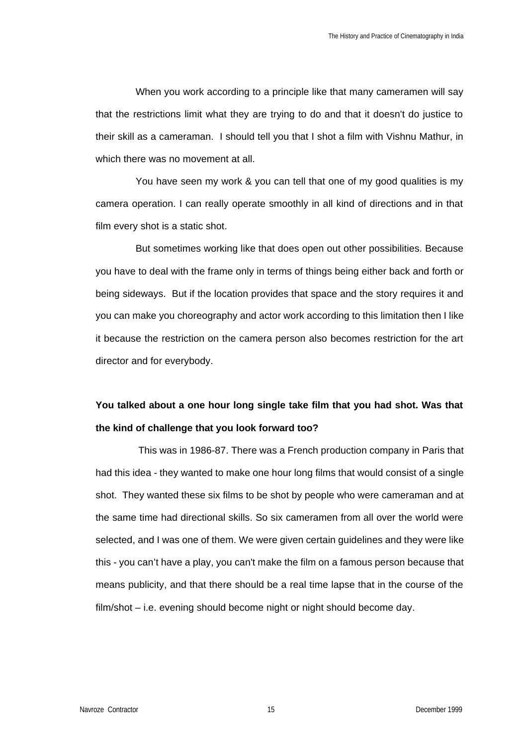When you work according to a principle like that many cameramen will say that the restrictions limit what they are trying to do and that it doesn't do justice to their skill as a cameraman. I should tell you that I shot a film with Vishnu Mathur, in which there was no movement at all.

You have seen my work & you can tell that one of my good qualities is my camera operation. I can really operate smoothly in all kind of directions and in that film every shot is a static shot.

But sometimes working like that does open out other possibilities. Because you have to deal with the frame only in terms of things being either back and forth or being sideways. But if the location provides that space and the story requires it and you can make you choreography and actor work according to this limitation then I like it because the restriction on the camera person also becomes restriction for the art director and for everybody.

# **You talked about a one hour long single take film that you had shot. Was that the kind of challenge that you look forward too?**

This was in 1986-87. There was a French production company in Paris that had this idea - they wanted to make one hour long films that would consist of a single shot. They wanted these six films to be shot by people who were cameraman and at the same time had directional skills. So six cameramen from all over the world were selected, and I was one of them. We were given certain guidelines and they were like this - you can't have a play, you can't make the film on a famous person because that means publicity, and that there should be a real time lapse that in the course of the film/shot – i.e. evening should become night or night should become day.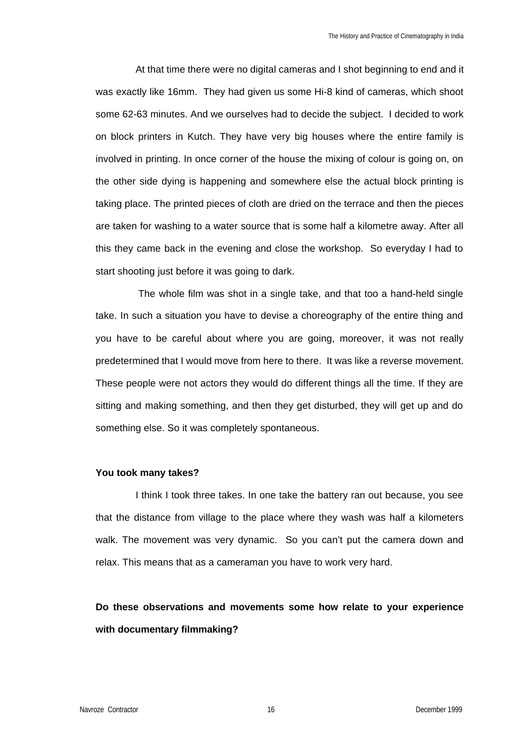At that time there were no digital cameras and I shot beginning to end and it was exactly like 16mm. They had given us some Hi-8 kind of cameras, which shoot some 62-63 minutes. And we ourselves had to decide the subject. I decided to work on block printers in Kutch. They have very big houses where the entire family is involved in printing. In once corner of the house the mixing of colour is going on, on the other side dying is happening and somewhere else the actual block printing is taking place. The printed pieces of cloth are dried on the terrace and then the pieces are taken for washing to a water source that is some half a kilometre away. After all this they came back in the evening and close the workshop. So everyday I had to start shooting just before it was going to dark.

The whole film was shot in a single take, and that too a hand-held single take. In such a situation you have to devise a choreography of the entire thing and you have to be careful about where you are going, moreover, it was not really predetermined that I would move from here to there. It was like a reverse movement. These people were not actors they would do different things all the time. If they are sitting and making something, and then they get disturbed, they will get up and do something else. So it was completely spontaneous.

## **You took many takes?**

I think I took three takes. In one take the battery ran out because, you see that the distance from village to the place where they wash was half a kilometers walk. The movement was very dynamic. So you can't put the camera down and relax. This means that as a cameraman you have to work very hard.

# **Do these observations and movements some how relate to your experience with documentary filmmaking?**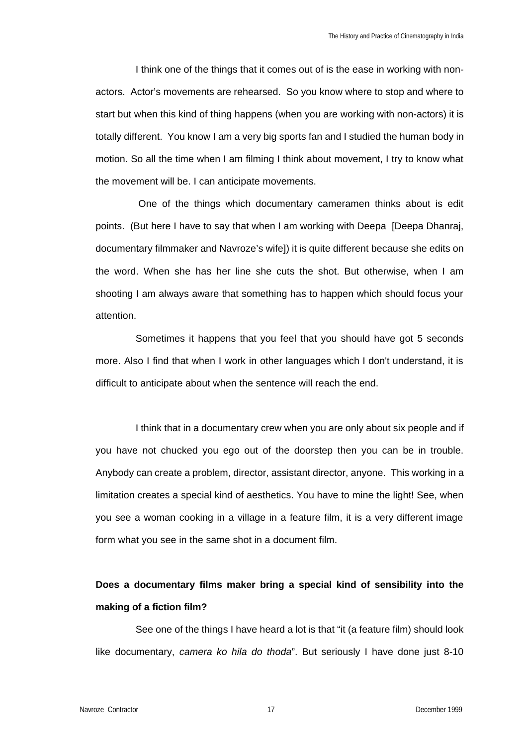I think one of the things that it comes out of is the ease in working with nonactors. Actor's movements are rehearsed. So you know where to stop and where to start but when this kind of thing happens (when you are working with non-actors) it is totally different. You know I am a very big sports fan and I studied the human body in motion. So all the time when I am filming I think about movement, I try to know what the movement will be. I can anticipate movements.

One of the things which documentary cameramen thinks about is edit points. (But here I have to say that when I am working with Deepa [Deepa Dhanraj, documentary filmmaker and Navroze's wife]) it is quite different because she edits on the word. When she has her line she cuts the shot. But otherwise, when I am shooting I am always aware that something has to happen which should focus your attention.

Sometimes it happens that you feel that you should have got 5 seconds more. Also I find that when I work in other languages which I don't understand, it is difficult to anticipate about when the sentence will reach the end.

I think that in a documentary crew when you are only about six people and if you have not chucked you ego out of the doorstep then you can be in trouble. Anybody can create a problem, director, assistant director, anyone. This working in a limitation creates a special kind of aesthetics. You have to mine the light! See, when you see a woman cooking in a village in a feature film, it is a very different image form what you see in the same shot in a document film.

# **Does a documentary films maker bring a special kind of sensibility into the making of a fiction film?**

See one of the things I have heard a lot is that "it (a feature film) should look like documentary, *camera ko hila do thoda*". But seriously I have done just 8-10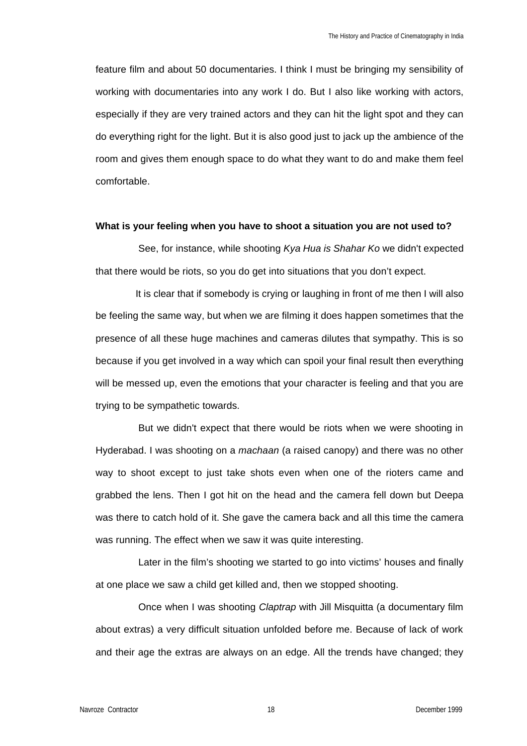feature film and about 50 documentaries. I think I must be bringing my sensibility of working with documentaries into any work I do. But I also like working with actors, especially if they are very trained actors and they can hit the light spot and they can do everything right for the light. But it is also good just to jack up the ambience of the room and gives them enough space to do what they want to do and make them feel comfortable.

#### **What is your feeling when you have to shoot a situation you are not used to?**

See, for instance, while shooting *Kya Hua is Shahar Ko* we didn't expected that there would be riots, so you do get into situations that you don't expect.

It is clear that if somebody is crying or laughing in front of me then I will also be feeling the same way, but when we are filming it does happen sometimes that the presence of all these huge machines and cameras dilutes that sympathy. This is so because if you get involved in a way which can spoil your final result then everything will be messed up, even the emotions that your character is feeling and that you are trying to be sympathetic towards.

But we didn't expect that there would be riots when we were shooting in Hyderabad. I was shooting on a *machaan* (a raised canopy) and there was no other way to shoot except to just take shots even when one of the rioters came and grabbed the lens. Then I got hit on the head and the camera fell down but Deepa was there to catch hold of it. She gave the camera back and all this time the camera was running. The effect when we saw it was quite interesting.

Later in the film's shooting we started to go into victims' houses and finally at one place we saw a child get killed and, then we stopped shooting.

Once when I was shooting *Claptrap* with Jill Misquitta (a documentary film about extras) a very difficult situation unfolded before me. Because of lack of work and their age the extras are always on an edge. All the trends have changed; they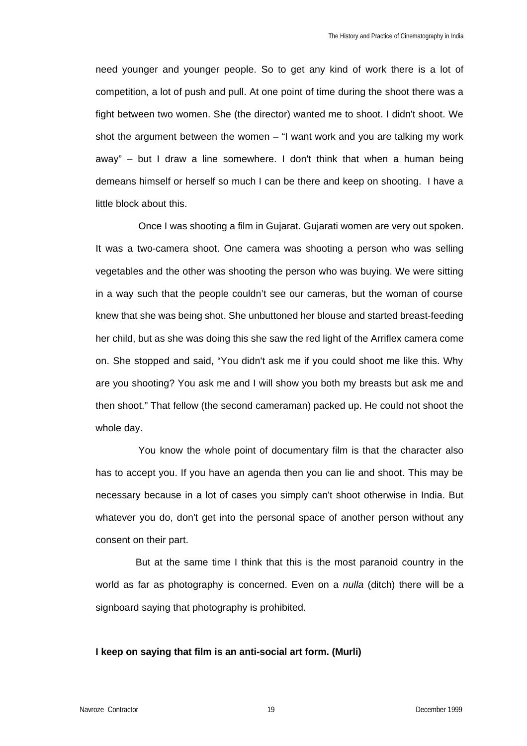need younger and younger people. So to get any kind of work there is a lot of competition, a lot of push and pull. At one point of time during the shoot there was a fight between two women. She (the director) wanted me to shoot. I didn't shoot. We shot the argument between the women – "I want work and you are talking my work away" – but I draw a line somewhere. I don't think that when a human being demeans himself or herself so much I can be there and keep on shooting. I have a little block about this.

Once I was shooting a film in Gujarat. Gujarati women are very out spoken. It was a two-camera shoot. One camera was shooting a person who was selling vegetables and the other was shooting the person who was buying. We were sitting in a way such that the people couldn't see our cameras, but the woman of course knew that she was being shot. She unbuttoned her blouse and started breast-feeding her child, but as she was doing this she saw the red light of the Arriflex camera come on. She stopped and said, "You didn't ask me if you could shoot me like this. Why are you shooting? You ask me and I will show you both my breasts but ask me and then shoot." That fellow (the second cameraman) packed up. He could not shoot the whole day.

You know the whole point of documentary film is that the character also has to accept you. If you have an agenda then you can lie and shoot. This may be necessary because in a lot of cases you simply can't shoot otherwise in India. But whatever you do, don't get into the personal space of another person without any consent on their part.

But at the same time I think that this is the most paranoid country in the world as far as photography is concerned. Even on a *nulla* (ditch) there will be a signboard saying that photography is prohibited.

### **I keep on saying that film is an anti-social art form. (Murli)**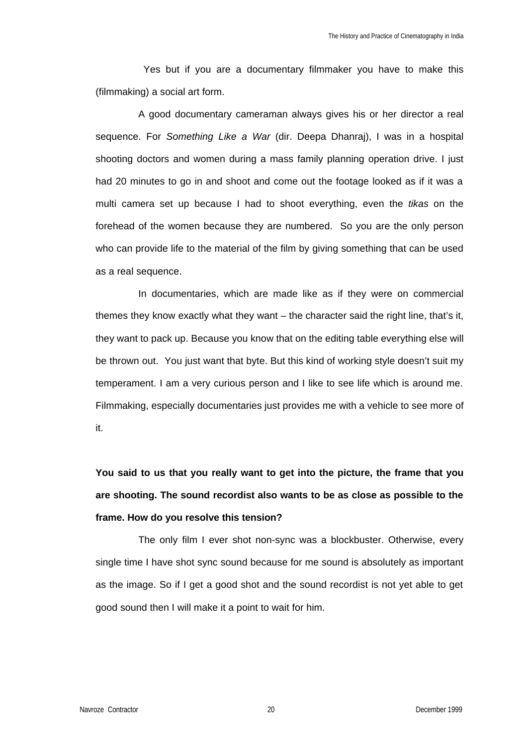Yes but if you are a documentary filmmaker you have to make this (filmmaking) a social art form.

A good documentary cameraman always gives his or her director a real sequence. For *Something Like a War* (dir. Deepa Dhanraj), I was in a hospital shooting doctors and women during a mass family planning operation drive. I just had 20 minutes to go in and shoot and come out the footage looked as if it was a multi camera set up because I had to shoot everything, even the *tikas* on the forehead of the women because they are numbered. So you are the only person who can provide life to the material of the film by giving something that can be used as a real sequence.

In documentaries, which are made like as if they were on commercial themes they know exactly what they want – the character said the right line, that's it, they want to pack up. Because you know that on the editing table everything else will be thrown out. You just want that byte. But this kind of working style doesn't suit my temperament. I am a very curious person and I like to see life which is around me. Filmmaking, especially documentaries just provides me with a vehicle to see more of it.

**You said to us that you really want to get into the picture, the frame that you are shooting. The sound recordist also wants to be as close as possible to the frame. How do you resolve this tension?**

The only film I ever shot non-sync was a blockbuster. Otherwise, every single time I have shot sync sound because for me sound is absolutely as important as the image. So if I get a good shot and the sound recordist is not yet able to get good sound then I will make it a point to wait for him.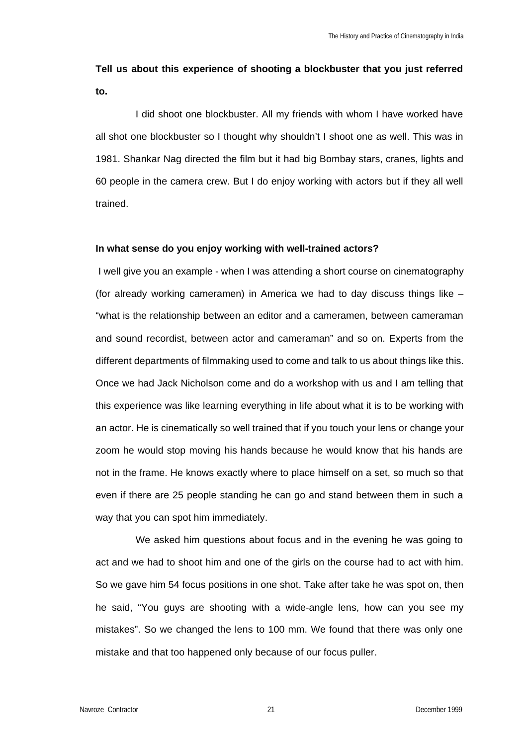# **Tell us about this experience of shooting a blockbuster that you just referred to.**

I did shoot one blockbuster. All my friends with whom I have worked have all shot one blockbuster so I thought why shouldn't I shoot one as well. This was in 1981. Shankar Nag directed the film but it had big Bombay stars, cranes, lights and 60 people in the camera crew. But I do enjoy working with actors but if they all well trained.

## **In what sense do you enjoy working with well-trained actors?**

I well give you an example - when I was attending a short course on cinematography (for already working cameramen) in America we had to day discuss things like – "what is the relationship between an editor and a cameramen, between cameraman and sound recordist, between actor and cameraman" and so on. Experts from the different departments of filmmaking used to come and talk to us about things like this. Once we had Jack Nicholson come and do a workshop with us and I am telling that this experience was like learning everything in life about what it is to be working with an actor. He is cinematically so well trained that if you touch your lens or change your zoom he would stop moving his hands because he would know that his hands are not in the frame. He knows exactly where to place himself on a set, so much so that even if there are 25 people standing he can go and stand between them in such a way that you can spot him immediately.

We asked him questions about focus and in the evening he was going to act and we had to shoot him and one of the girls on the course had to act with him. So we gave him 54 focus positions in one shot. Take after take he was spot on, then he said, "You guys are shooting with a wide-angle lens, how can you see my mistakes". So we changed the lens to 100 mm. We found that there was only one mistake and that too happened only because of our focus puller.